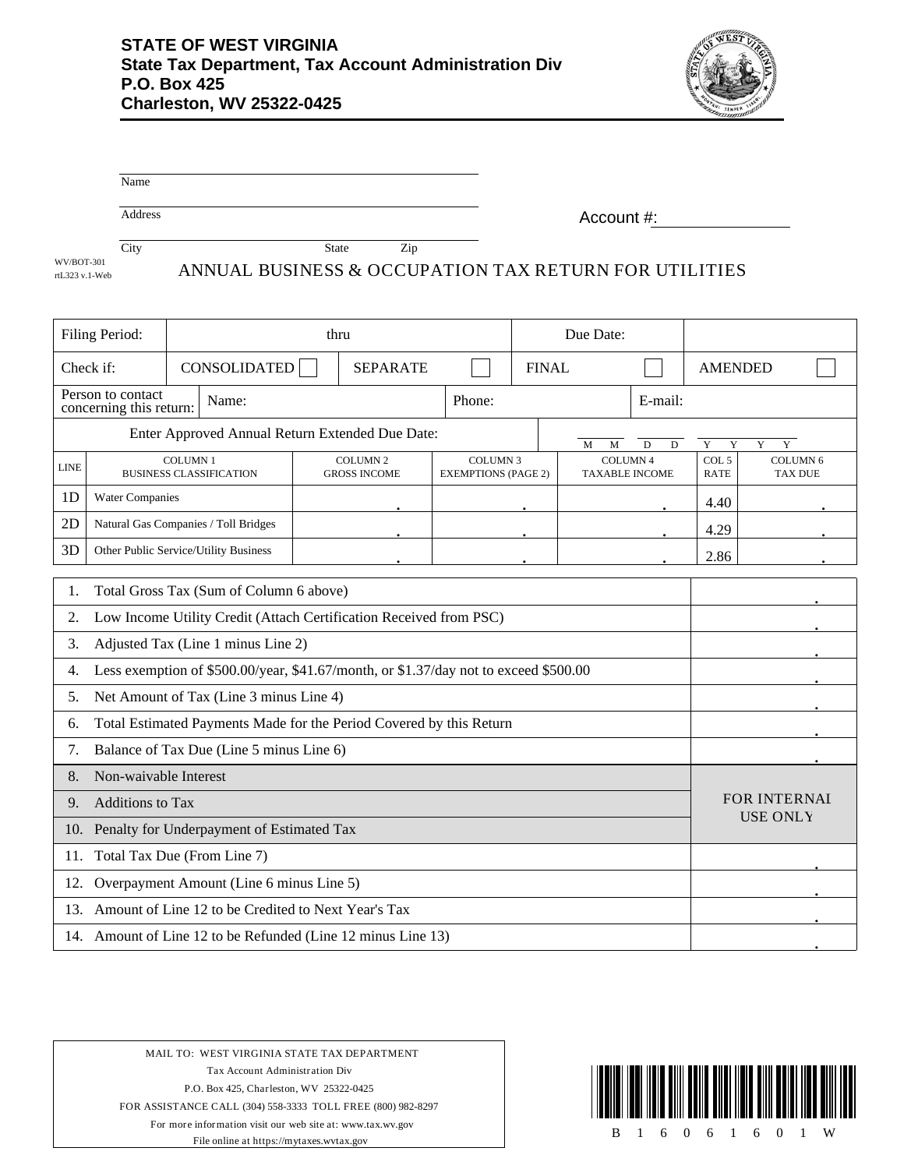

|                | Name                                                                                 |                        |                                 |  |                                                       |                                               |  |                                         |        |               |                                  |  |
|----------------|--------------------------------------------------------------------------------------|------------------------|---------------------------------|--|-------------------------------------------------------|-----------------------------------------------|--|-----------------------------------------|--------|---------------|----------------------------------|--|
|                | Address                                                                              |                        |                                 |  |                                                       | Account #:                                    |  |                                         |        |               |                                  |  |
| WV/BOT-301     | City                                                                                 |                        |                                 |  | State<br>Zip                                          |                                               |  |                                         |        |               |                                  |  |
| rtL323 v.1-Web |                                                                                      |                        |                                 |  | ANNUAL BUSINESS & OCCUPATION TAX RETURN FOR UTILITIES |                                               |  |                                         |        |               |                                  |  |
|                | Filing Period:                                                                       |                        |                                 |  | thru                                                  |                                               |  | Due Date:                               |        |               |                                  |  |
| Check if:      |                                                                                      |                        | CONSOLIDATED<br><b>SEPARATE</b> |  |                                                       | <b>FINAL</b>                                  |  | <b>AMENDED</b>                          |        |               |                                  |  |
|                | Person to contact<br>concerning this return:                                         |                        | Name:                           |  | Phone:                                                |                                               |  | E-mail:                                 |        |               |                                  |  |
|                |                                                                                      |                        |                                 |  | Enter Approved Annual Return Extended Due Date:       |                                               |  | M<br>M                                  | D<br>D | Y<br>Y        | Y<br>Y                           |  |
| <b>LINE</b>    | <b>COLUMN1</b><br><b>BUSINESS CLASSIFICATION</b>                                     |                        |                                 |  | <b>COLUMN 2</b><br><b>GROSS INCOME</b>                | <b>COLUMN 3</b><br><b>EXEMPTIONS (PAGE 2)</b> |  | <b>COLUMN4</b><br><b>TAXABLE INCOME</b> |        | COL 5<br>RATE | <b>COLUMN6</b><br><b>TAX DUE</b> |  |
| 1D             |                                                                                      | <b>Water Companies</b> |                                 |  |                                                       |                                               |  |                                         |        | 4.40          |                                  |  |
| 2D             | Natural Gas Companies / Toll Bridges                                                 |                        |                                 |  |                                                       |                                               |  |                                         |        | 4.29          |                                  |  |
| 3D             | Other Public Service/Utility Business                                                |                        |                                 |  |                                                       |                                               |  |                                         |        | 2.86          |                                  |  |
| 1.             | Total Gross Tax (Sum of Column 6 above)                                              |                        |                                 |  |                                                       |                                               |  |                                         |        |               |                                  |  |
| 2.             | Low Income Utility Credit (Attach Certification Received from PSC)                   |                        |                                 |  |                                                       |                                               |  |                                         |        |               |                                  |  |
| 3.             | Adjusted Tax (Line 1 minus Line 2)                                                   |                        |                                 |  |                                                       |                                               |  |                                         |        |               |                                  |  |
| 4.             | Less exemption of \$500.00/year, \$41.67/month, or \$1.37/day not to exceed \$500.00 |                        |                                 |  |                                                       |                                               |  |                                         |        |               |                                  |  |
| 5.             | Net Amount of Tax (Line 3 minus Line 4)                                              |                        |                                 |  |                                                       |                                               |  |                                         |        |               |                                  |  |
| 6.             | Total Estimated Payments Made for the Period Covered by this Return                  |                        |                                 |  |                                                       |                                               |  |                                         |        |               |                                  |  |
| 7.             | Balance of Tax Due (Line 5 minus Line 6)                                             |                        |                                 |  |                                                       |                                               |  |                                         |        |               |                                  |  |
| 8.             | Non-waivable Interest                                                                |                        |                                 |  |                                                       |                                               |  |                                         |        |               |                                  |  |
| 9.             | Additions to Tax                                                                     |                        |                                 |  |                                                       | <b>FOR INTERNAI</b><br><b>USE ONLY</b>        |  |                                         |        |               |                                  |  |
|                | 10. Penalty for Underpayment of Estimated Tax                                        |                        |                                 |  |                                                       |                                               |  |                                         |        |               |                                  |  |
|                | 11. Total Tax Due (From Line 7)                                                      |                        |                                 |  |                                                       |                                               |  |                                         |        |               |                                  |  |
|                | 12. Overpayment Amount (Line 6 minus Line 5)                                         |                        |                                 |  |                                                       |                                               |  |                                         |        |               |                                  |  |
|                | 13. Amount of Line 12 to be Credited to Next Year's Tax                              |                        |                                 |  |                                                       |                                               |  |                                         |        |               |                                  |  |
|                | 14. Amount of Line 12 to be Refunded (Line 12 minus Line 13)                         |                        |                                 |  |                                                       |                                               |  |                                         |        |               |                                  |  |

MAIL TO: WEST VIRGINIA STATE TAX DEPARTMENT Tax Account Administration Div P.O. Box 425, Charleston, WV 25322-0425 FOR ASSISTANCE CALL (304) 558-3333 TOLL FREE (800) 982-8297 For more information visit our web site at: www.tax.wv.gov File online at https://mytaxes.wvtax.gov B 1 6 0 6 1 6 0 1 W